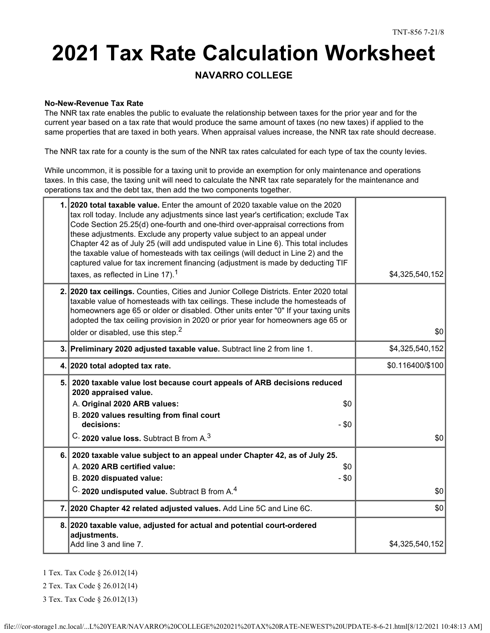# **2021 Tax Rate Calculation Worksheet**

### **NAVARRO COLLEGE**

#### **No-New-Revenue Tax Rate**

The NNR tax rate enables the public to evaluate the relationship between taxes for the prior year and for the current year based on a tax rate that would produce the same amount of taxes (no new taxes) if applied to the same properties that are taxed in both years. When appraisal values increase, the NNR tax rate should decrease.

The NNR tax rate for a county is the sum of the NNR tax rates calculated for each type of tax the county levies.

While uncommon, it is possible for a taxing unit to provide an exemption for only maintenance and operations taxes. In this case, the taxing unit will need to calculate the NNR tax rate separately for the maintenance and operations tax and the debt tax, then add the two components together.

| 1. 2020 total taxable value. Enter the amount of 2020 taxable value on the 2020<br>tax roll today. Include any adjustments since last year's certification; exclude Tax<br>Code Section 25.25(d) one-fourth and one-third over-appraisal corrections from<br>these adjustments. Exclude any property value subject to an appeal under<br>Chapter 42 as of July 25 (will add undisputed value in Line 6). This total includes<br>the taxable value of homesteads with tax ceilings (will deduct in Line 2) and the<br>captured value for tax increment financing (adjustment is made by deducting TIF<br>taxes, as reflected in Line $17$ ). <sup>1</sup> | \$4,325,540,152  |
|----------------------------------------------------------------------------------------------------------------------------------------------------------------------------------------------------------------------------------------------------------------------------------------------------------------------------------------------------------------------------------------------------------------------------------------------------------------------------------------------------------------------------------------------------------------------------------------------------------------------------------------------------------|------------------|
| 2. 2020 tax ceilings. Counties, Cities and Junior College Districts. Enter 2020 total<br>taxable value of homesteads with tax ceilings. These include the homesteads of<br>homeowners age 65 or older or disabled. Other units enter "0" If your taxing units<br>adopted the tax ceiling provision in 2020 or prior year for homeowners age 65 or<br>older or disabled, use this step. <sup>2</sup>                                                                                                                                                                                                                                                      | \$0              |
| 3. Preliminary 2020 adjusted taxable value. Subtract line 2 from line 1.                                                                                                                                                                                                                                                                                                                                                                                                                                                                                                                                                                                 | \$4,325,540,152  |
| 4. 2020 total adopted tax rate.                                                                                                                                                                                                                                                                                                                                                                                                                                                                                                                                                                                                                          | \$0.116400/\$100 |
| 5. 2020 taxable value lost because court appeals of ARB decisions reduced<br>2020 appraised value.<br>A. Original 2020 ARB values:<br>\$0<br>B. 2020 values resulting from final court<br>decisions:<br>$-$ \$0<br>C. 2020 value loss. Subtract B from A. <sup>3</sup>                                                                                                                                                                                                                                                                                                                                                                                   | \$0              |
| 6. 2020 taxable value subject to an appeal under Chapter 42, as of July 25.<br>A. 2020 ARB certified value:<br>\$0<br>B. 2020 dispuated value:<br>$-$ \$0<br>C. 2020 undisputed value. Subtract B from A. <sup>4</sup>                                                                                                                                                                                                                                                                                                                                                                                                                                   | \$0              |
| 7. 2020 Chapter 42 related adjusted values. Add Line 5C and Line 6C.                                                                                                                                                                                                                                                                                                                                                                                                                                                                                                                                                                                     | \$0              |
| 8. 2020 taxable value, adjusted for actual and potential court-ordered<br>adjustments.<br>Add line 3 and line 7.                                                                                                                                                                                                                                                                                                                                                                                                                                                                                                                                         | \$4,325,540,152  |

1 Tex. Tax Code § 26.012(14)

2 Tex. Tax Code § 26.012(14)

3 Tex. Tax Code § 26.012(13)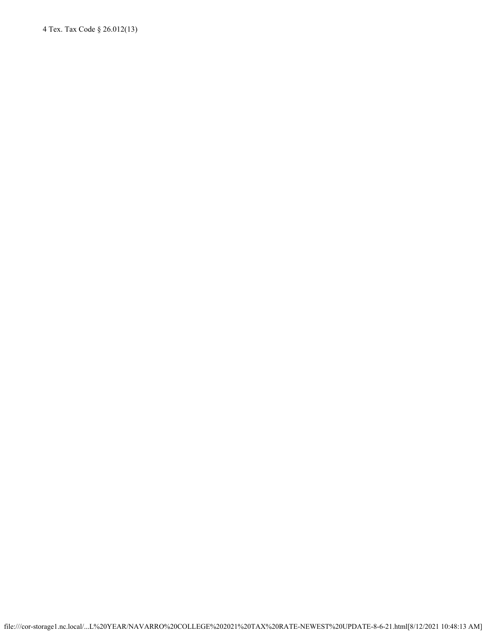4 Tex. Tax Code § 26.012(13)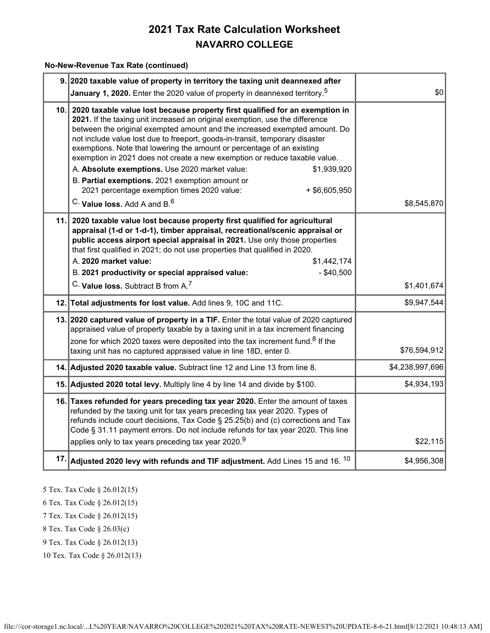#### **No-New-Revenue Tax Rate (continued)**

|     | 9. 2020 taxable value of property in territory the taxing unit deannexed after<br>January 1, 2020. Enter the 2020 value of property in deannexed territory. <sup>5</sup>                                                                                                                                                                                                                                                                                                                                                                                                                                                                                                                                                 | \$0             |
|-----|--------------------------------------------------------------------------------------------------------------------------------------------------------------------------------------------------------------------------------------------------------------------------------------------------------------------------------------------------------------------------------------------------------------------------------------------------------------------------------------------------------------------------------------------------------------------------------------------------------------------------------------------------------------------------------------------------------------------------|-----------------|
|     | 10. 2020 taxable value lost because property first qualified for an exemption in<br>2021. If the taxing unit increased an original exemption, use the difference<br>between the original exempted amount and the increased exempted amount. Do<br>not include value lost due to freeport, goods-in-transit, temporary disaster<br>exemptions. Note that lowering the amount or percentage of an existing<br>exemption in 2021 does not create a new exemption or reduce taxable value.<br>A. Absolute exemptions. Use 2020 market value:<br>\$1,939,920<br>B. Partial exemptions. 2021 exemption amount or<br>2021 percentage exemption times 2020 value:<br>$+$ \$6,605,950<br>C. Value loss. Add A and B. <sup>6</sup> | \$8,545,870     |
| 11. | 2020 taxable value lost because property first qualified for agricultural<br>appraisal (1-d or 1-d-1), timber appraisal, recreational/scenic appraisal or<br>public access airport special appraisal in 2021. Use only those properties<br>that first qualified in 2021; do not use properties that qualified in 2020.<br>A. 2020 market value:<br>\$1,442,174<br>B. 2021 productivity or special appraised value:<br>$-$ \$40,500                                                                                                                                                                                                                                                                                       |                 |
|     | C. Value loss. Subtract B from A. <sup>7</sup>                                                                                                                                                                                                                                                                                                                                                                                                                                                                                                                                                                                                                                                                           | \$1,401,674     |
|     | 12. Total adjustments for lost value. Add lines 9, 10C and 11C.                                                                                                                                                                                                                                                                                                                                                                                                                                                                                                                                                                                                                                                          | \$9,947,544     |
|     | 13. 2020 captured value of property in a TIF. Enter the total value of 2020 captured<br>appraised value of property taxable by a taxing unit in a tax increment financing<br>zone for which 2020 taxes were deposited into the tax increment fund. <sup>8</sup> If the<br>taxing unit has no captured appraised value in line 18D, enter 0.                                                                                                                                                                                                                                                                                                                                                                              | \$76,594,912    |
|     | 14. Adjusted 2020 taxable value. Subtract line 12 and Line 13 from line 8.                                                                                                                                                                                                                                                                                                                                                                                                                                                                                                                                                                                                                                               | \$4,238,997,696 |
|     | 15. Adjusted 2020 total levy. Multiply line 4 by line 14 and divide by \$100.                                                                                                                                                                                                                                                                                                                                                                                                                                                                                                                                                                                                                                            | \$4,934,193     |
|     | 16. Taxes refunded for years preceding tax year 2020. Enter the amount of taxes<br>refunded by the taxing unit for tax years preceding tax year 2020. Types of<br>refunds include court decisions, Tax Code § 25.25(b) and (c) corrections and Tax<br>Code § 31.11 payment errors. Do not include refunds for tax year 2020. This line<br>applies only to tax years preceding tax year 2020. <sup>9</sup>                                                                                                                                                                                                                                                                                                                | \$22,115        |
|     | 17. Adjusted 2020 levy with refunds and TIF adjustment. Add Lines 15 and 16. $^{10}$                                                                                                                                                                                                                                                                                                                                                                                                                                                                                                                                                                                                                                     | \$4,956,308     |
|     |                                                                                                                                                                                                                                                                                                                                                                                                                                                                                                                                                                                                                                                                                                                          |                 |

- 5 Tex. Tax Code § 26.012(15)
- 6 Tex. Tax Code § 26.012(15)
- 7 Tex. Tax Code § 26.012(15)
- 8 Tex. Tax Code § 26.03(c)
- 9 Tex. Tax Code § 26.012(13)
- 10 Tex. Tax Code § 26.012(13)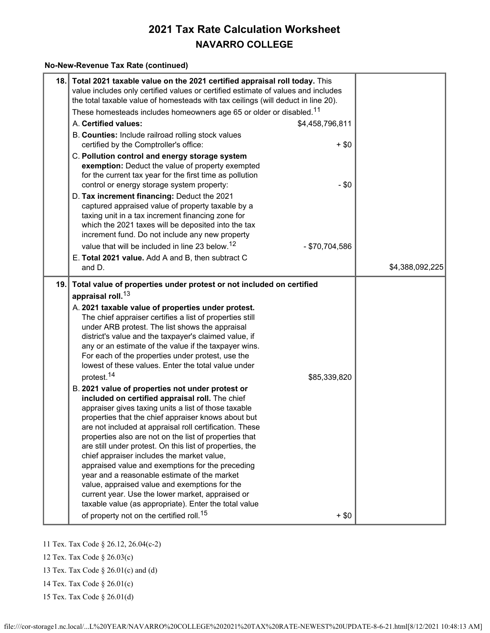#### **No-New-Revenue Tax Rate (continued)**

|     | 18. Total 2021 taxable value on the 2021 certified appraisal roll today. This<br>value includes only certified values or certified estimate of values and includes<br>the total taxable value of homesteads with tax ceilings (will deduct in line 20).<br>These homesteads includes homeowners age 65 or older or disabled. <sup>11</sup>                                                                                                                                                                                                                                                                                                                                                                                                                                                                                                                                                                                                                                                                                                                                                                                                                                                                                                                                                                                                   |                 |
|-----|----------------------------------------------------------------------------------------------------------------------------------------------------------------------------------------------------------------------------------------------------------------------------------------------------------------------------------------------------------------------------------------------------------------------------------------------------------------------------------------------------------------------------------------------------------------------------------------------------------------------------------------------------------------------------------------------------------------------------------------------------------------------------------------------------------------------------------------------------------------------------------------------------------------------------------------------------------------------------------------------------------------------------------------------------------------------------------------------------------------------------------------------------------------------------------------------------------------------------------------------------------------------------------------------------------------------------------------------|-----------------|
|     | A. Certified values:<br>\$4,458,796,811                                                                                                                                                                                                                                                                                                                                                                                                                                                                                                                                                                                                                                                                                                                                                                                                                                                                                                                                                                                                                                                                                                                                                                                                                                                                                                      |                 |
|     | B. Counties: Include railroad rolling stock values<br>certified by the Comptroller's office:<br>$+$ \$0                                                                                                                                                                                                                                                                                                                                                                                                                                                                                                                                                                                                                                                                                                                                                                                                                                                                                                                                                                                                                                                                                                                                                                                                                                      |                 |
|     | C. Pollution control and energy storage system<br>exemption: Deduct the value of property exempted<br>for the current tax year for the first time as pollution<br>$-$ \$0<br>control or energy storage system property:                                                                                                                                                                                                                                                                                                                                                                                                                                                                                                                                                                                                                                                                                                                                                                                                                                                                                                                                                                                                                                                                                                                      |                 |
|     | D. Tax increment financing: Deduct the 2021<br>captured appraised value of property taxable by a<br>taxing unit in a tax increment financing zone for<br>which the 2021 taxes will be deposited into the tax<br>increment fund. Do not include any new property                                                                                                                                                                                                                                                                                                                                                                                                                                                                                                                                                                                                                                                                                                                                                                                                                                                                                                                                                                                                                                                                              |                 |
|     | value that will be included in line 23 below. <sup>12</sup><br>- \$70,704,586                                                                                                                                                                                                                                                                                                                                                                                                                                                                                                                                                                                                                                                                                                                                                                                                                                                                                                                                                                                                                                                                                                                                                                                                                                                                |                 |
|     | E. Total 2021 value. Add A and B, then subtract C<br>and D.                                                                                                                                                                                                                                                                                                                                                                                                                                                                                                                                                                                                                                                                                                                                                                                                                                                                                                                                                                                                                                                                                                                                                                                                                                                                                  | \$4,388,092,225 |
| 19. | Total value of properties under protest or not included on certified<br>appraisal roll. <sup>13</sup><br>A. 2021 taxable value of properties under protest.<br>The chief appraiser certifies a list of properties still<br>under ARB protest. The list shows the appraisal<br>district's value and the taxpayer's claimed value, if<br>any or an estimate of the value if the taxpayer wins.<br>For each of the properties under protest, use the<br>lowest of these values. Enter the total value under<br>protest. <sup>14</sup><br>\$85,339,820<br>B. 2021 value of properties not under protest or<br>included on certified appraisal roll. The chief<br>appraiser gives taxing units a list of those taxable<br>properties that the chief appraiser knows about but<br>are not included at appraisal roll certification. These<br>properties also are not on the list of properties that<br>are still under protest. On this list of properties, the<br>chief appraiser includes the market value,<br>appraised value and exemptions for the preceding<br>year and a reasonable estimate of the market<br>value, appraised value and exemptions for the<br>current year. Use the lower market, appraised or<br>taxable value (as appropriate). Enter the total value<br>of property not on the certified roll. <sup>15</sup><br>$+$ \$0 |                 |

11 Tex. Tax Code § 26.12, 26.04(c-2)

12 Tex. Tax Code § 26.03(c)

13 Tex. Tax Code § 26.01(c) and (d)

14 Tex. Tax Code § 26.01(c)

15 Tex. Tax Code § 26.01(d)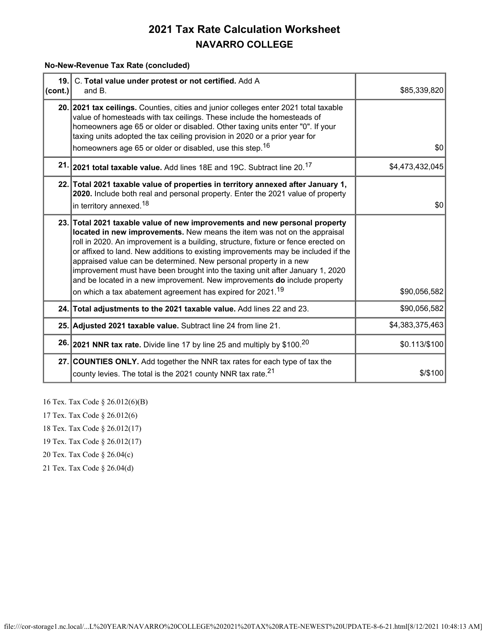**No-New-Revenue Tax Rate (concluded)**

| 19.<br> cont. | C. Total value under protest or not certified. Add A<br>and B.                                                                                                                                                                                                                                                                                                                                                                                                                                                                                                                                                                                 | \$85,339,820    |
|---------------|------------------------------------------------------------------------------------------------------------------------------------------------------------------------------------------------------------------------------------------------------------------------------------------------------------------------------------------------------------------------------------------------------------------------------------------------------------------------------------------------------------------------------------------------------------------------------------------------------------------------------------------------|-----------------|
|               | 20. 2021 tax ceilings. Counties, cities and junior colleges enter 2021 total taxable<br>value of homesteads with tax ceilings. These include the homesteads of<br>homeowners age 65 or older or disabled. Other taxing units enter "0". If your<br>taxing units adopted the tax ceiling provision in 2020 or a prior year for<br>homeowners age 65 or older or disabled, use this step. <sup>16</sup>                                                                                                                                                                                                                                          | \$0             |
|               | 21. 2021 total taxable value. Add lines 18E and 19C. Subtract line 20. <sup>17</sup>                                                                                                                                                                                                                                                                                                                                                                                                                                                                                                                                                           | \$4,473,432,045 |
|               | 22. Total 2021 taxable value of properties in territory annexed after January 1,<br>2020. Include both real and personal property. Enter the 2021 value of property<br>in territory annexed. <sup>18</sup>                                                                                                                                                                                                                                                                                                                                                                                                                                     | \$0             |
|               | 23. Total 2021 taxable value of new improvements and new personal property<br>located in new improvements. New means the item was not on the appraisal<br>roll in 2020. An improvement is a building, structure, fixture or fence erected on<br>or affixed to land. New additions to existing improvements may be included if the<br>appraised value can be determined. New personal property in a new<br>improvement must have been brought into the taxing unit after January 1, 2020<br>and be located in a new improvement. New improvements do include property<br>on which a tax abatement agreement has expired for 2021. <sup>19</sup> | \$90,056,582    |
|               | 24. Total adjustments to the 2021 taxable value. Add lines 22 and 23.                                                                                                                                                                                                                                                                                                                                                                                                                                                                                                                                                                          | \$90,056,582    |
|               | 25. Adjusted 2021 taxable value. Subtract line 24 from line 21.                                                                                                                                                                                                                                                                                                                                                                                                                                                                                                                                                                                | \$4,383,375,463 |
|               | 26. 2021 NNR tax rate. Divide line 17 by line 25 and multiply by \$100. <sup>20</sup>                                                                                                                                                                                                                                                                                                                                                                                                                                                                                                                                                          | \$0.113/\$100   |
|               | 27. COUNTIES ONLY. Add together the NNR tax rates for each type of tax the<br>county levies. The total is the 2021 county NNR tax rate. <sup>21</sup>                                                                                                                                                                                                                                                                                                                                                                                                                                                                                          | $$$ /\$100      |

16 Tex. Tax Code § 26.012(6)(B)

- 17 Tex. Tax Code § 26.012(6)
- 18 Tex. Tax Code § 26.012(17)
- 19 Tex. Tax Code § 26.012(17)
- 20 Tex. Tax Code § 26.04(c)
- 21 Tex. Tax Code § 26.04(d)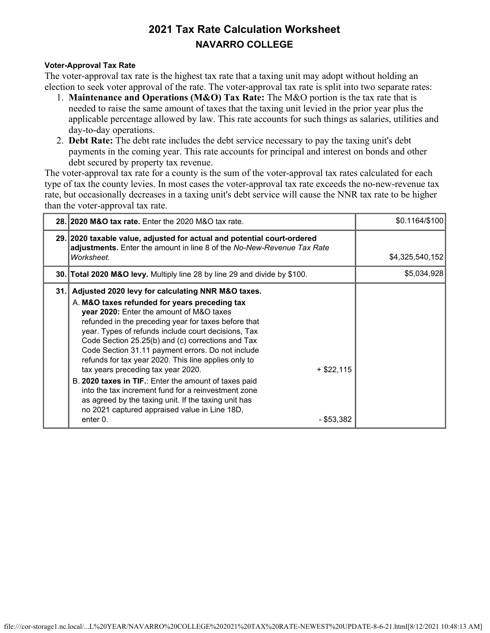#### **Voter-Approval Tax Rate**

The voter-approval tax rate is the highest tax rate that a taxing unit may adopt without holding an election to seek voter approval of the rate. The voter-approval tax rate is split into two separate rates:

- 1. **Maintenance and Operations (M&O) Tax Rate:** The M&O portion is the tax rate that is needed to raise the same amount of taxes that the taxing unit levied in the prior year plus the applicable percentage allowed by law. This rate accounts for such things as salaries, utilities and day-to-day operations.
- 2. **Debt Rate:** The debt rate includes the debt service necessary to pay the taxing unit's debt payments in the coming year. This rate accounts for principal and interest on bonds and other debt secured by property tax revenue.

The voter-approval tax rate for a county is the sum of the voter-approval tax rates calculated for each type of tax the county levies. In most cases the voter-approval tax rate exceeds the no-new-revenue tax rate, but occasionally decreases in a taxing unit's debt service will cause the NNR tax rate to be higher than the voter-approval tax rate.

|     | 28. 2020 M&O tax rate. Enter the 2020 M&O tax rate.                                                                                                                                                                                                                                                                                                                                                                                                                                                                                                                                                                                                                                                                                      | \$0.1164/\$100  |
|-----|------------------------------------------------------------------------------------------------------------------------------------------------------------------------------------------------------------------------------------------------------------------------------------------------------------------------------------------------------------------------------------------------------------------------------------------------------------------------------------------------------------------------------------------------------------------------------------------------------------------------------------------------------------------------------------------------------------------------------------------|-----------------|
|     | 29. 2020 taxable value, adjusted for actual and potential court-ordered<br>adjustments. Enter the amount in line 8 of the No-New-Revenue Tax Rate<br>Worksheet.                                                                                                                                                                                                                                                                                                                                                                                                                                                                                                                                                                          | \$4,325,540,152 |
|     | 30. Total 2020 M&O levy. Multiply line 28 by line 29 and divide by \$100.                                                                                                                                                                                                                                                                                                                                                                                                                                                                                                                                                                                                                                                                | \$5,034,928     |
| 31. | Adjusted 2020 levy for calculating NNR M&O taxes.<br>A. M&O taxes refunded for years preceding tax<br>year 2020: Enter the amount of M&O taxes<br>refunded in the preceding year for taxes before that<br>year. Types of refunds include court decisions, Tax<br>Code Section 25.25(b) and (c) corrections and Tax<br>Code Section 31.11 payment errors. Do not include<br>refunds for tax year 2020. This line applies only to<br>tax years preceding tax year 2020.<br>$+$ \$22,115<br>B. 2020 taxes in TIF.: Enter the amount of taxes paid<br>into the tax increment fund for a reinvestment zone<br>as agreed by the taxing unit. If the taxing unit has<br>no 2021 captured appraised value in Line 18D,<br>enter 0.<br>- \$53,382 |                 |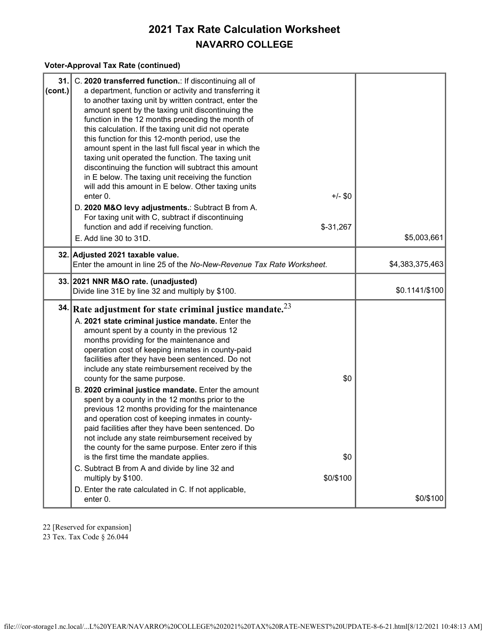#### **Voter-Approval Tax Rate (continued)**

| 31.<br> cont. | C. 2020 transferred function.: If discontinuing all of<br>a department, function or activity and transferring it<br>to another taxing unit by written contract, enter the<br>amount spent by the taxing unit discontinuing the<br>function in the 12 months preceding the month of<br>this calculation. If the taxing unit did not operate<br>this function for this 12-month period, use the<br>amount spent in the last full fiscal year in which the<br>taxing unit operated the function. The taxing unit<br>discontinuing the function will subtract this amount<br>in E below. The taxing unit receiving the function<br>will add this amount in E below. Other taxing units<br>$+/-$ \$0<br>enter 0.<br>D. 2020 M&O levy adjustments.: Subtract B from A.<br>For taxing unit with C, subtract if discontinuing<br>$$-31,267$<br>function and add if receiving function.<br>E. Add line 30 to 31D.                                | \$5,003,661     |
|---------------|-----------------------------------------------------------------------------------------------------------------------------------------------------------------------------------------------------------------------------------------------------------------------------------------------------------------------------------------------------------------------------------------------------------------------------------------------------------------------------------------------------------------------------------------------------------------------------------------------------------------------------------------------------------------------------------------------------------------------------------------------------------------------------------------------------------------------------------------------------------------------------------------------------------------------------------------|-----------------|
|               | 32. Adjusted 2021 taxable value.<br>Enter the amount in line 25 of the No-New-Revenue Tax Rate Worksheet.                                                                                                                                                                                                                                                                                                                                                                                                                                                                                                                                                                                                                                                                                                                                                                                                                               | \$4,383,375,463 |
|               | 33. 2021 NNR M&O rate. (unadjusted)<br>Divide line 31E by line 32 and multiply by \$100.                                                                                                                                                                                                                                                                                                                                                                                                                                                                                                                                                                                                                                                                                                                                                                                                                                                | $$0.1141/\$100$ |
|               | 34. Rate adjustment for state criminal justice mandate. $2^3$<br>A. 2021 state criminal justice mandate. Enter the<br>amount spent by a county in the previous 12<br>months providing for the maintenance and<br>operation cost of keeping inmates in county-paid<br>facilities after they have been sentenced. Do not<br>include any state reimbursement received by the<br>\$0<br>county for the same purpose.<br>B. 2020 criminal justice mandate. Enter the amount<br>spent by a county in the 12 months prior to the<br>previous 12 months providing for the maintenance<br>and operation cost of keeping inmates in county-<br>paid facilities after they have been sentenced. Do<br>not include any state reimbursement received by<br>the county for the same purpose. Enter zero if this<br>\$0<br>is the first time the mandate applies.<br>C. Subtract B from A and divide by line 32 and<br>\$0/\$100<br>multiply by \$100. |                 |
|               | D. Enter the rate calculated in C. If not applicable,<br>enter 0.                                                                                                                                                                                                                                                                                                                                                                                                                                                                                                                                                                                                                                                                                                                                                                                                                                                                       | \$0/\$100       |

22 [Reserved for expansion]

23 Tex. Tax Code § 26.044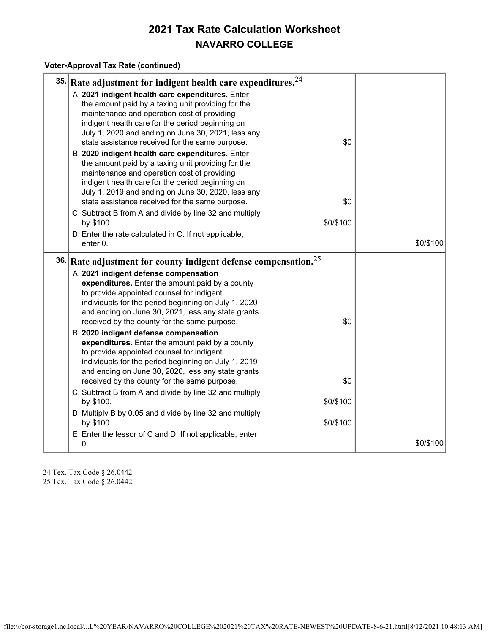#### **Voter-Approval Tax Rate (continued)**

| 35. Rate adjustment for indigent health care expenditures. $24$                                                                                                                                                                                                                                                           |           |
|---------------------------------------------------------------------------------------------------------------------------------------------------------------------------------------------------------------------------------------------------------------------------------------------------------------------------|-----------|
| A. 2021 indigent health care expenditures. Enter<br>the amount paid by a taxing unit providing for the<br>maintenance and operation cost of providing<br>indigent health care for the period beginning on<br>July 1, 2020 and ending on June 30, 2021, less any<br>\$0<br>state assistance received for the same purpose. |           |
| B. 2020 indigent health care expenditures. Enter<br>the amount paid by a taxing unit providing for the<br>maintenance and operation cost of providing<br>indigent health care for the period beginning on<br>July 1, 2019 and ending on June 30, 2020, less any                                                           |           |
| state assistance received for the same purpose.<br>\$0<br>C. Subtract B from A and divide by line 32 and multiply                                                                                                                                                                                                         |           |
| \$0/\$100<br>by \$100.                                                                                                                                                                                                                                                                                                    |           |
| D. Enter the rate calculated in C. If not applicable,<br>enter 0.                                                                                                                                                                                                                                                         | \$0/\$100 |
| 36. Rate adjustment for county indigent defense compensation. $25$                                                                                                                                                                                                                                                        |           |
| A. 2021 indigent defense compensation<br>expenditures. Enter the amount paid by a county<br>to provide appointed counsel for indigent<br>individuals for the period beginning on July 1, 2020<br>and ending on June 30, 2021, less any state grants<br>\$0<br>received by the county for the same purpose.                |           |
| B. 2020 indigent defense compensation<br>expenditures. Enter the amount paid by a county<br>to provide appointed counsel for indigent<br>individuals for the period beginning on July 1, 2019<br>and ending on June 30, 2020, less any state grants                                                                       |           |
| \$0<br>received by the county for the same purpose.                                                                                                                                                                                                                                                                       |           |
| C. Subtract B from A and divide by line 32 and multiply<br>by \$100.<br>\$0/\$100                                                                                                                                                                                                                                         |           |
| D. Multiply B by 0.05 and divide by line 32 and multiply<br>by \$100.<br>\$0/\$100                                                                                                                                                                                                                                        |           |
| E. Enter the lessor of C and D. If not applicable, enter<br>0.                                                                                                                                                                                                                                                            | \$0/\$100 |

24 Tex. Tax Code § 26.0442 25 Tex. Tax Code § 26.0442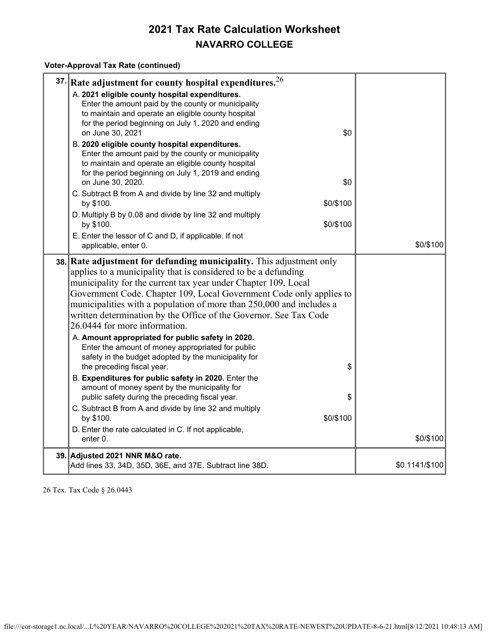#### **Voter-Approval Tax Rate (continued)**

| 37. Rate adjustment for county hospital expenditures. $26$                                                                                                                                                                                                                                                                                                                                                                                                                                                                                                                                                                                                                                                                                                                                                                                                                                                                                                                                      |                |
|-------------------------------------------------------------------------------------------------------------------------------------------------------------------------------------------------------------------------------------------------------------------------------------------------------------------------------------------------------------------------------------------------------------------------------------------------------------------------------------------------------------------------------------------------------------------------------------------------------------------------------------------------------------------------------------------------------------------------------------------------------------------------------------------------------------------------------------------------------------------------------------------------------------------------------------------------------------------------------------------------|----------------|
| A. 2021 eligible county hospital expenditures.<br>Enter the amount paid by the county or municipality<br>to maintain and operate an eligible county hospital<br>for the period beginning on July 1, 2020 and ending<br>on June 30, 2021<br>\$0<br>B. 2020 eligible county hospital expenditures.<br>Enter the amount paid by the county or municipality<br>to maintain and operate an eligible county hospital<br>for the period beginning on July 1, 2019 and ending<br>on June 30, 2020.<br>\$0<br>C. Subtract B from A and divide by line 32 and multiply<br>\$0/\$100<br>by \$100.                                                                                                                                                                                                                                                                                                                                                                                                          |                |
| D. Multiply B by 0.08 and divide by line 32 and multiply                                                                                                                                                                                                                                                                                                                                                                                                                                                                                                                                                                                                                                                                                                                                                                                                                                                                                                                                        |                |
| \$0/\$100<br>by \$100.<br>E. Enter the lessor of C and D, if applicable. If not<br>applicable, enter 0.                                                                                                                                                                                                                                                                                                                                                                                                                                                                                                                                                                                                                                                                                                                                                                                                                                                                                         | \$0/\$100      |
| 38. Rate adjustment for defunding municipality. This adjustment only<br>applies to a municipality that is considered to be a defunding<br>municipality for the current tax year under Chapter 109, Local<br>Government Code. Chapter 109, Local Government Code only applies to<br>municipalities with a population of more than 250,000 and includes a<br>written determination by the Office of the Governor. See Tax Code<br>26.0444 for more information.<br>A. Amount appropriated for public safety in 2020.<br>Enter the amount of money appropriated for public<br>safety in the budget adopted by the municipality for<br>the preceding fiscal year.<br>\$<br>B. Expenditures for public safety in 2020. Enter the<br>amount of money spent by the municipality for<br>public safety during the preceding fiscal year.<br>\$<br>C. Subtract B from A and divide by line 32 and multiply<br>\$0/\$100<br>by \$100.<br>D. Enter the rate calculated in C. If not applicable,<br>enter 0. | \$0/\$100      |
| 39. Adjusted 2021 NNR M&O rate.<br>Add lines 33, 34D, 35D, 36E, and 37E. Subtract line 38D.                                                                                                                                                                                                                                                                                                                                                                                                                                                                                                                                                                                                                                                                                                                                                                                                                                                                                                     | \$0.1141/\$100 |

26 Tex. Tax Code § 26.0443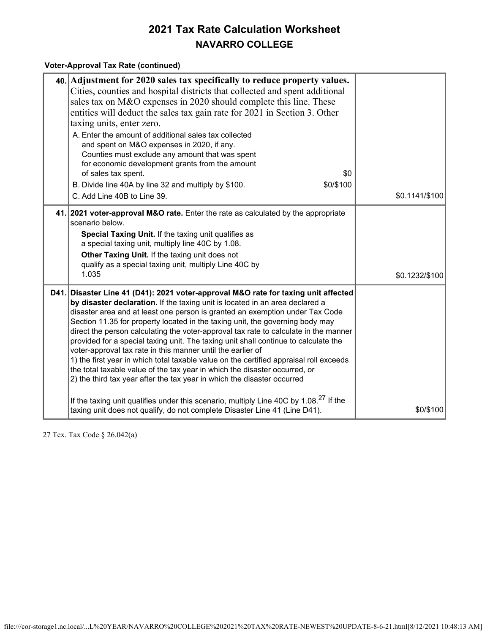#### **Voter-Approval Tax Rate (continued)**

| 40. Adjustment for 2020 sales tax specifically to reduce property values.<br>Cities, counties and hospital districts that collected and spent additional<br>sales tax on M&O expenses in 2020 should complete this line. These<br>entities will deduct the sales tax gain rate for 2021 in Section 3. Other<br>taxing units, enter zero.<br>A. Enter the amount of additional sales tax collected<br>and spent on M&O expenses in 2020, if any.<br>Counties must exclude any amount that was spent<br>for economic development grants from the amount                                                                                                                                                                                                                                                                                                                                                                                     |                |
|-------------------------------------------------------------------------------------------------------------------------------------------------------------------------------------------------------------------------------------------------------------------------------------------------------------------------------------------------------------------------------------------------------------------------------------------------------------------------------------------------------------------------------------------------------------------------------------------------------------------------------------------------------------------------------------------------------------------------------------------------------------------------------------------------------------------------------------------------------------------------------------------------------------------------------------------|----------------|
| of sales tax spent.                                                                                                                                                                                                                                                                                                                                                                                                                                                                                                                                                                                                                                                                                                                                                                                                                                                                                                                       | \$0            |
| B. Divide line 40A by line 32 and multiply by \$100.<br>\$0/\$100<br>C. Add Line 40B to Line 39.                                                                                                                                                                                                                                                                                                                                                                                                                                                                                                                                                                                                                                                                                                                                                                                                                                          | \$0.1141/\$100 |
| 41. 2021 voter-approval M&O rate. Enter the rate as calculated by the appropriate<br>scenario below.<br>Special Taxing Unit. If the taxing unit qualifies as<br>a special taxing unit, multiply line 40C by 1.08.<br>Other Taxing Unit. If the taxing unit does not<br>qualify as a special taxing unit, multiply Line 40C by<br>1.035                                                                                                                                                                                                                                                                                                                                                                                                                                                                                                                                                                                                    | \$0.1232/\$100 |
| D41. Disaster Line 41 (D41): 2021 voter-approval M&O rate for taxing unit affected<br>by disaster declaration. If the taxing unit is located in an area declared a<br>disaster area and at least one person is granted an exemption under Tax Code<br>Section 11.35 for property located in the taxing unit, the governing body may<br>direct the person calculating the voter-approval tax rate to calculate in the manner<br>provided for a special taxing unit. The taxing unit shall continue to calculate the<br>voter-approval tax rate in this manner until the earlier of<br>1) the first year in which total taxable value on the certified appraisal roll exceeds<br>the total taxable value of the tax year in which the disaster occurred, or<br>2) the third tax year after the tax year in which the disaster occurred<br>If the taxing unit qualifies under this scenario, multiply Line 40C by 1.08. <sup>27</sup> If the |                |
| taxing unit does not qualify, do not complete Disaster Line 41 (Line D41).                                                                                                                                                                                                                                                                                                                                                                                                                                                                                                                                                                                                                                                                                                                                                                                                                                                                | \$0/\$100      |

27 Tex. Tax Code § 26.042(a)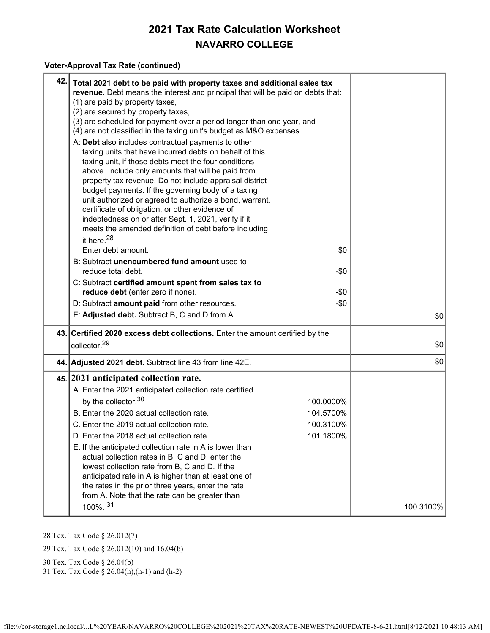#### **Voter-Approval Tax Rate (continued)**

| 42. Total 2021 debt to be paid with property taxes and additional sales tax<br>revenue. Debt means the interest and principal that will be paid on debts that:<br>(1) are paid by property taxes,<br>(2) are secured by property taxes,<br>(3) are scheduled for payment over a period longer than one year, and<br>(4) are not classified in the taxing unit's budget as M&O expenses.<br>A: Debt also includes contractual payments to other<br>taxing units that have incurred debts on behalf of this<br>taxing unit, if those debts meet the four conditions<br>above. Include only amounts that will be paid from<br>property tax revenue. Do not include appraisal district<br>budget payments. If the governing body of a taxing<br>unit authorized or agreed to authorize a bond, warrant,<br>certificate of obligation, or other evidence of<br>indebtedness on or after Sept. 1, 2021, verify if it<br>meets the amended definition of debt before including<br>\$0 |
|--------------------------------------------------------------------------------------------------------------------------------------------------------------------------------------------------------------------------------------------------------------------------------------------------------------------------------------------------------------------------------------------------------------------------------------------------------------------------------------------------------------------------------------------------------------------------------------------------------------------------------------------------------------------------------------------------------------------------------------------------------------------------------------------------------------------------------------------------------------------------------------------------------------------------------------------------------------------------------|
| B: Subtract unencumbered fund amount used to<br>$-\$0$                                                                                                                                                                                                                                                                                                                                                                                                                                                                                                                                                                                                                                                                                                                                                                                                                                                                                                                         |
| C: Subtract certified amount spent from sales tax to                                                                                                                                                                                                                                                                                                                                                                                                                                                                                                                                                                                                                                                                                                                                                                                                                                                                                                                           |
| reduce debt (enter zero if none).<br>$-\$0$                                                                                                                                                                                                                                                                                                                                                                                                                                                                                                                                                                                                                                                                                                                                                                                                                                                                                                                                    |
| D: Subtract amount paid from other resources.<br>$-\$0$                                                                                                                                                                                                                                                                                                                                                                                                                                                                                                                                                                                                                                                                                                                                                                                                                                                                                                                        |
| E: Adjusted debt. Subtract B, C and D from A.<br>\$0                                                                                                                                                                                                                                                                                                                                                                                                                                                                                                                                                                                                                                                                                                                                                                                                                                                                                                                           |
| 43. Certified 2020 excess debt collections. Enter the amount certified by the                                                                                                                                                                                                                                                                                                                                                                                                                                                                                                                                                                                                                                                                                                                                                                                                                                                                                                  |
| \$0                                                                                                                                                                                                                                                                                                                                                                                                                                                                                                                                                                                                                                                                                                                                                                                                                                                                                                                                                                            |
| \$0<br>44. Adjusted 2021 debt. Subtract line 43 from line 42E.                                                                                                                                                                                                                                                                                                                                                                                                                                                                                                                                                                                                                                                                                                                                                                                                                                                                                                                 |
| 45. 2021 anticipated collection rate.                                                                                                                                                                                                                                                                                                                                                                                                                                                                                                                                                                                                                                                                                                                                                                                                                                                                                                                                          |
| A. Enter the 2021 anticipated collection rate certified                                                                                                                                                                                                                                                                                                                                                                                                                                                                                                                                                                                                                                                                                                                                                                                                                                                                                                                        |
| 100.0000%                                                                                                                                                                                                                                                                                                                                                                                                                                                                                                                                                                                                                                                                                                                                                                                                                                                                                                                                                                      |
| B. Enter the 2020 actual collection rate.<br>104.5700%                                                                                                                                                                                                                                                                                                                                                                                                                                                                                                                                                                                                                                                                                                                                                                                                                                                                                                                         |
| C. Enter the 2019 actual collection rate.<br>100.3100%                                                                                                                                                                                                                                                                                                                                                                                                                                                                                                                                                                                                                                                                                                                                                                                                                                                                                                                         |
| D. Enter the 2018 actual collection rate.<br>101.1800%                                                                                                                                                                                                                                                                                                                                                                                                                                                                                                                                                                                                                                                                                                                                                                                                                                                                                                                         |
| E. If the anticipated collection rate in A is lower than<br>actual collection rates in B, C and D, enter the<br>lowest collection rate from B, C and D. If the<br>anticipated rate in A is higher than at least one of<br>the rates in the prior three years, enter the rate<br>from A. Note that the rate can be greater than<br>100.3100%                                                                                                                                                                                                                                                                                                                                                                                                                                                                                                                                                                                                                                    |
|                                                                                                                                                                                                                                                                                                                                                                                                                                                                                                                                                                                                                                                                                                                                                                                                                                                                                                                                                                                |

28 Tex. Tax Code § 26.012(7)

29 Tex. Tax Code § 26.012(10) and 16.04(b)

30 Tex. Tax Code § 26.04(b)

31 Tex. Tax Code § 26.04(h),(h-1) and (h-2)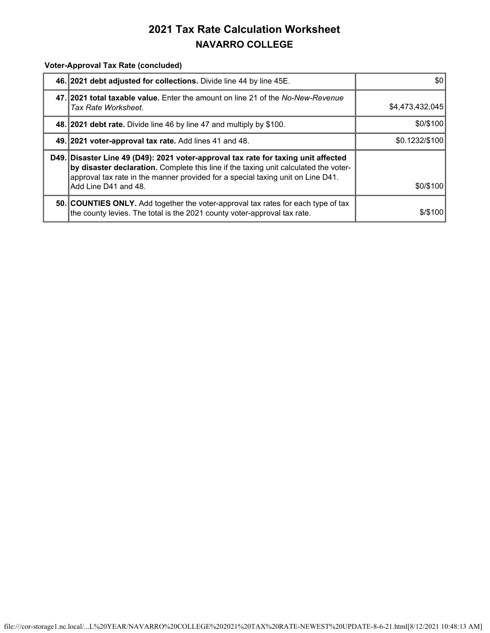**Voter-Approval Tax Rate (concluded)**

| 46. 2021 debt adjusted for collections. Divide line 44 by line 45E.                                                                                                                                                                                                                   | \$0             |
|---------------------------------------------------------------------------------------------------------------------------------------------------------------------------------------------------------------------------------------------------------------------------------------|-----------------|
| 47. 2021 total taxable value. Enter the amount on line 21 of the No-New-Revenue<br>Tax Rate Worksheet.                                                                                                                                                                                | \$4,473,432,045 |
| 48. 2021 debt rate. Divide line 46 by line 47 and multiply by \$100.                                                                                                                                                                                                                  | \$0/\$100       |
| 49. 2021 voter-approval tax rate. Add lines 41 and 48.                                                                                                                                                                                                                                | \$0.1232/\$100  |
| D49. Disaster Line 49 (D49): 2021 voter-approval tax rate for taxing unit affected<br>by disaster declaration. Complete this line if the taxing unit calculated the voter-<br>approval tax rate in the manner provided for a special taxing unit on Line D41.<br>Add Line D41 and 48. | \$0/\$100       |
| 50. COUNTIES ONLY. Add together the voter-approval tax rates for each type of tax<br>the county levies. The total is the 2021 county voter-approval tax rate.                                                                                                                         | \$/\$100        |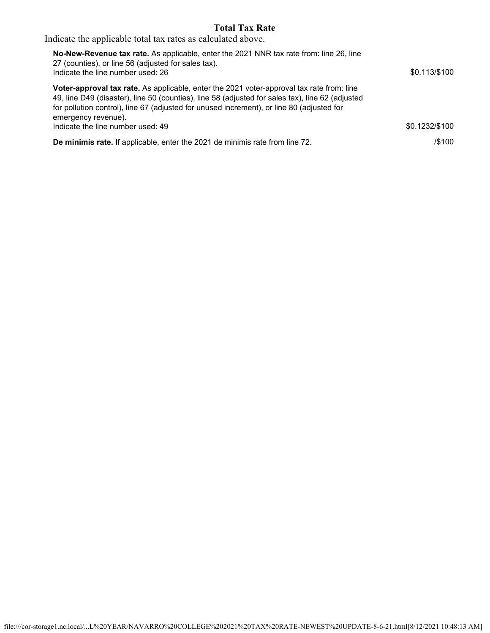### **Total Tax Rate**

Indicate the applicable total tax rates as calculated above.

| No-New-Revenue tax rate. As applicable, enter the 2021 NNR tax rate from: line 26, line<br>27 (counties), or line 56 (adjusted for sales tax).<br>Indicate the line number used: 26                                                                                                                                      | \$0.113/\$100  |
|--------------------------------------------------------------------------------------------------------------------------------------------------------------------------------------------------------------------------------------------------------------------------------------------------------------------------|----------------|
| <b>Voter-approval tax rate.</b> As applicable, enter the 2021 voter-approval tax rate from: line<br>49, line D49 (disaster), line 50 (counties), line 58 (adjusted for sales tax), line 62 (adjusted<br>for pollution control), line 67 (adjusted for unused increment), or line 80 (adjusted for<br>emergency revenue). |                |
| Indicate the line number used: 49                                                                                                                                                                                                                                                                                        | \$0.1232/\$100 |
| De minimis rate. If applicable, enter the 2021 de minimis rate from line 72.                                                                                                                                                                                                                                             | /\$100         |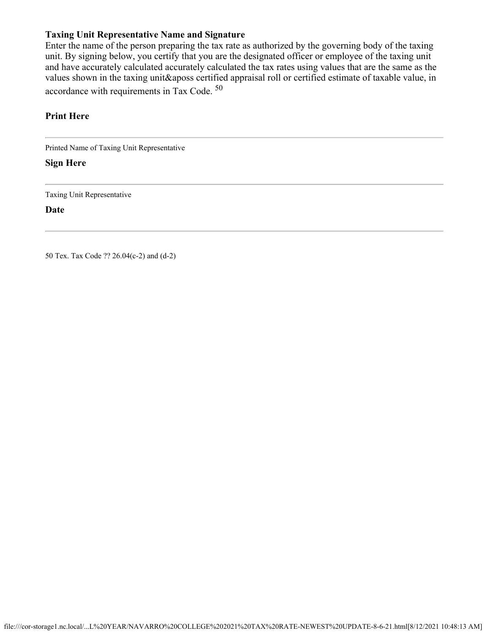### **Taxing Unit Representative Name and Signature**

Enter the name of the person preparing the tax rate as authorized by the governing body of the taxing unit. By signing below, you certify that you are the designated officer or employee of the taxing unit and have accurately calculated accurately calculated the tax rates using values that are the same as the values shown in the taxing unit&aposs certified appraisal roll or certified estimate of taxable value, in accordance with requirements in Tax Code. 50

### **Print Here**

Printed Name of Taxing Unit Representative

**Sign Here**

Taxing Unit Representative

**Date**

50 Tex. Tax Code ?? 26.04(c-2) and (d-2)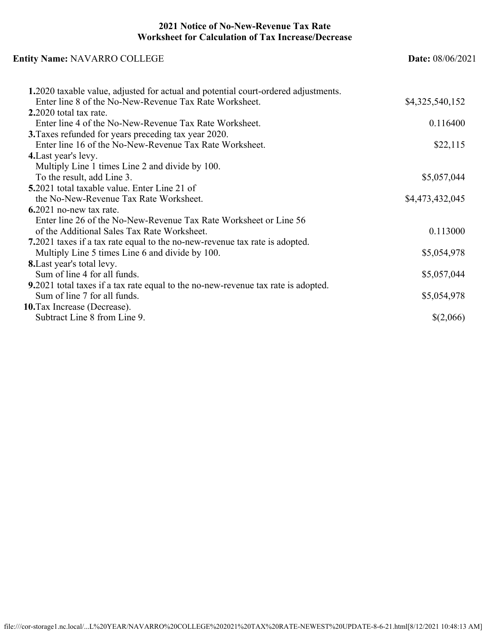### **2021 Notice of No-New-Revenue Tax Rate Worksheet for Calculation of Tax Increase/Decrease**

| <b>Entity Name: NAVARRO COLLEGE</b>                                                       | <b>Date: 08/06/2021</b> |
|-------------------------------------------------------------------------------------------|-------------------------|
| <b>1.2020</b> taxable value, adjusted for actual and potential court-ordered adjustments. |                         |
| Enter line 8 of the No-New-Revenue Tax Rate Worksheet.                                    | \$4,325,540,152         |
| 2.2020 total tax rate.                                                                    |                         |
| Enter line 4 of the No-New-Revenue Tax Rate Worksheet.                                    | 0.116400                |
| <b>3.</b> Taxes refunded for years preceding tax year 2020.                               |                         |
| Enter line 16 of the No-New-Revenue Tax Rate Worksheet.                                   | \$22,115                |
| 4. Last year's levy.                                                                      |                         |
| Multiply Line 1 times Line 2 and divide by 100.                                           |                         |
| To the result, add Line 3.                                                                | \$5,057,044             |
| <b>5.</b> 2021 total taxable value. Enter Line 21 of                                      |                         |
| the No-New-Revenue Tax Rate Worksheet.                                                    | \$4,473,432,045         |
| $6.2021$ no-new tax rate.                                                                 |                         |
| Enter line 26 of the No-New-Revenue Tax Rate Worksheet or Line 56                         |                         |
| of the Additional Sales Tax Rate Worksheet.                                               | 0.113000                |
| 7.2021 taxes if a tax rate equal to the no-new-revenue tax rate is adopted.               |                         |
| Multiply Line 5 times Line 6 and divide by 100.                                           | \$5,054,978             |
| <b>8.</b> Last year's total levy.                                                         |                         |
| Sum of line 4 for all funds.                                                              | \$5,057,044             |
| 9.2021 total taxes if a tax rate equal to the no-new-revenue tax rate is adopted.         |                         |
| Sum of line 7 for all funds.                                                              | \$5,054,978             |
| 10. Tax Increase (Decrease).                                                              |                         |
| Subtract Line 8 from Line 9.                                                              | \$(2,066)               |
|                                                                                           |                         |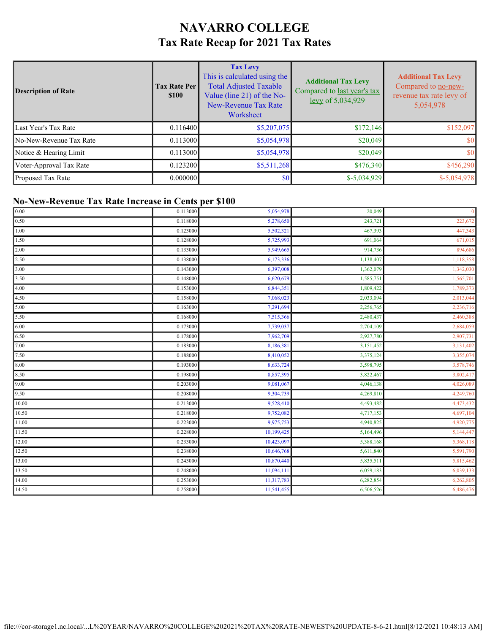# **NAVARRO COLLEGE Tax Rate Recap for 2021 Tax Rates**

| Description of Rate     | <b>Tax Rate Per</b><br><b>\$100</b> | <b>Tax Levy</b><br>This is calculated using the<br><b>Total Adjusted Taxable</b><br>Value (line 21) of the No-<br>New-Revenue Tax Rate<br>Worksheet | <b>Additional Tax Levy</b><br>Compared to last year's tax<br>levy of 5,034,929 | <b>Additional Tax Levy</b><br>Compared to no-new-<br>revenue tax rate levy of<br>5,054,978 |
|-------------------------|-------------------------------------|-----------------------------------------------------------------------------------------------------------------------------------------------------|--------------------------------------------------------------------------------|--------------------------------------------------------------------------------------------|
| Last Year's Tax Rate    | 0.116400                            | \$5,207,075                                                                                                                                         | \$172,146                                                                      | \$152,097                                                                                  |
| No-New-Revenue Tax Rate | 0.113000                            | \$5,054,978                                                                                                                                         | \$20,049                                                                       | \$0                                                                                        |
| Notice & Hearing Limit  | 0.113000                            | \$5,054,978                                                                                                                                         | \$20,049                                                                       | \$0                                                                                        |
| Voter-Approval Tax Rate | 0.123200                            | \$5,511,268                                                                                                                                         | \$476,340                                                                      | \$456,290                                                                                  |
| Proposed Tax Rate       | 0.000000                            | \$0                                                                                                                                                 | $$-5,034,929$                                                                  | $$-5,054,978$                                                                              |

### **No-New-Revenue Tax Rate Increase in Cents per \$100**

| $\boxed{0.00}$ | 0.113000 | 5,054,978  | 20,049    | $\overline{0}$ |
|----------------|----------|------------|-----------|----------------|
| $\boxed{0.50}$ | 0.118000 | 5,278,650  | 243,721   | 223,672        |
| 1.00           | 0.123000 | 5,502,321  | 467,393   | 447,343        |
| 1.50           | 0.128000 | 5,725,993  | 691,064   | 671,015        |
| 2.00           | 0.133000 | 5,949,665  | 914,736   | 894,686        |
| 2.50           | 0.138000 | 6,173,336  | 1,138,407 | 1,118,358      |
| 3.00           | 0.143000 | 6,397,008  | 1,362,079 | 1,342,030      |
| 3.50           | 0.148000 | 6,620,679  | 1,585,751 | 1,565,701      |
| 4.00           | 0.153000 | 6,844,351  | 1,809,422 | 1,789,373      |
| 4.50           | 0.158000 | 7,068,023  | 2,033,094 | 2,013,044      |
| 5.00           | 0.163000 | 7,291,694  | 2,256,765 | 2,236,716      |
| 5.50           | 0.168000 | 7,515,366  | 2,480,437 | 2,460,388      |
| 6.00           | 0.173000 | 7,739,037  | 2,704,109 | 2,684,059      |
| 6.50           | 0.178000 | 7,962,709  | 2,927,780 | 2,907,731      |
| 7.00           | 0.183000 | 8,186,381  | 3,151,452 | 3,131,402      |
| 7.50           | 0.188000 | 8,410,052  | 3,375,124 | 3,355,074      |
| 8.00           | 0.193000 | 8,633,724  | 3,598,795 | 3,578,746      |
| 8.50           | 0.198000 | 8,857,395  | 3,822,467 | 3,802,417      |
| $\sqrt{9.00}$  | 0.203000 | 9,081,067  | 4,046,138 | 4,026,089      |
| 9.50           | 0.208000 | 9,304,739  | 4,269,810 | 4,249,760      |
| 10.00          | 0.213000 | 9,528,410  | 4,493,482 | 4,473,432      |
| 10.50          | 0.218000 | 9,752,082  | 4,717,153 | 4,697,104      |
| 11.00          | 0.223000 | 9,975,753  | 4,940,825 | 4,920,775      |
| 11.50          | 0.228000 | 10,199,425 | 5,164,496 | 5,144,447      |
| 12.00          | 0.233000 | 10,423,097 | 5,388,168 | 5,368,118      |
| 12.50          | 0.238000 | 10,646,768 | 5,611,840 | 5,591,790      |
| 13.00          | 0.243000 | 10,870,440 | 5,835,511 | 5,815,462      |
| 13.50          | 0.248000 | 11,094,111 | 6,059,183 | 6,039,133      |
| 14.00          | 0.253000 | 11,317,783 | 6,282,854 | 6,262,805      |
| 14.50          | 0.258000 | 11,541,455 | 6,506,526 | 6,486,476      |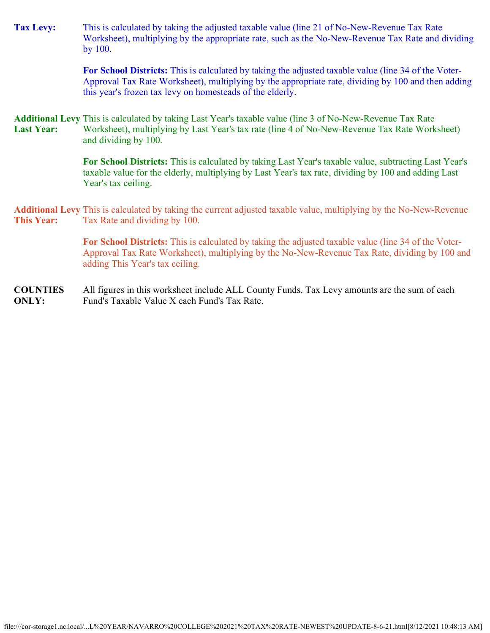| <b>Tax Levy:</b>  | This is calculated by taking the adjusted taxable value (line 21 of No-New-Revenue Tax Rate<br>Worksheet), multiplying by the appropriate rate, such as the No-New-Revenue Tax Rate and dividing<br>by 100.                                                             |
|-------------------|-------------------------------------------------------------------------------------------------------------------------------------------------------------------------------------------------------------------------------------------------------------------------|
|                   | For School Districts: This is calculated by taking the adjusted taxable value (line 34 of the Voter-<br>Approval Tax Rate Worksheet), multiplying by the appropriate rate, dividing by 100 and then adding<br>this year's frozen tax levy on homesteads of the elderly. |
| <b>Last Year:</b> | <b>Additional Levy</b> This is calculated by taking Last Year's taxable value (line 3 of No-New-Revenue Tax Rate<br>Worksheet), multiplying by Last Year's tax rate (line 4 of No-New-Revenue Tax Rate Worksheet)<br>and dividing by 100.                               |
|                   | For School Districts: This is calculated by taking Last Year's taxable value, subtracting Last Year's<br>taxable value for the elderly, multiplying by Last Year's tax rate, dividing by 100 and adding Last<br>Year's tax ceiling.                                     |
| <b>This Year:</b> | <b>Additional Levy</b> This is calculated by taking the current adjusted taxable value, multiplying by the No-New-Revenue<br>Tax Rate and dividing by 100.                                                                                                              |
|                   | For School Districts: This is calculated by taking the adjusted taxable value (line 34 of the Voter-<br>Approval Tax Rate Worksheet), multiplying by the No-New-Revenue Tax Rate, dividing by 100 and<br>adding This Year's tax ceiling.                                |

**COUNTIES ONLY:** All figures in this worksheet include ALL County Funds. Tax Levy amounts are the sum of each Fund's Taxable Value X each Fund's Tax Rate.